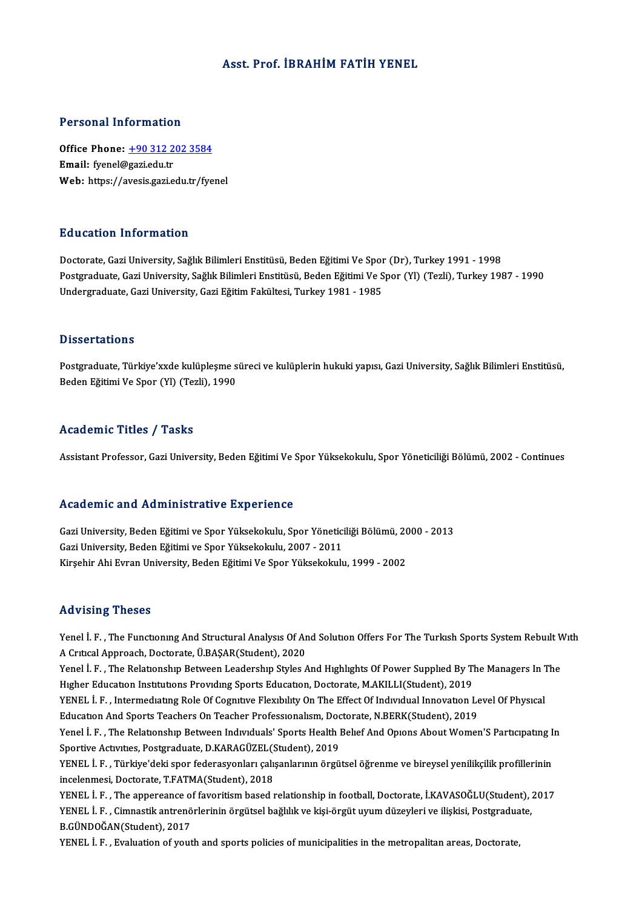#### Asst. Prof. İBRAHİM FATİH YENEL

#### Personal Information

Personal Information<br>Office Phone: <u>+90 312 202 3584</u><br>Email: francl@gariedu.tr Feredian Internation<br>Office Phone: <u>+90 312 2</u><br>Email: fyenel@gazi.edu.tr Email: fyenel@gazi.edu.tr<br>Web: https://a[vesis.gazi.edu.tr/fye](tel:+90 312 202 3584)nel

#### Education Information

Doctorate, Gazi University, Sağlık Bilimleri Enstitüsü, Beden Eğitimi Ve Spor (Dr), Turkey 1991 - 1998 Bu u sutron "Information"<br>Doctorate, Gazi University, Sağlık Bilimleri Enstitüsü, Beden Eğitimi Ve Spor (Dr), Turkey 1991 - 1998<br>Postgraduate, Gazi University, Sağlık Bilimleri Enstitüsü, Beden Eğitimi Ve Spor (Yl) (Tezli) Doctorate, Gazi University, Sağlık Bilimleri Enstitüsü, Beden Eğitimi Ve Spor<br>Postgraduate, Gazi University, Sağlık Bilimleri Enstitüsü, Beden Eğitimi Ve S<br>Undergraduate, Gazi University, Gazi Eğitim Fakültesi, Turkey 1981 Undergraduate, Gazi University, Gazi Eğitim Fakültesi, Turkey 1981 - 1985<br>Dissertations

Postgraduate, Türkiye'xxde kulüpleşme süreci ve kulüplerin hukuki yapısı, Gazi University, Sağlık Bilimleri Enstitüsü, Beden Eğitimi Ve Spor (Yl) (Tezli), 1990

#### Academic Titles / Tasks

Assistant Professor, Gazi University, Beden Eğitimi Ve Spor Yüksekokulu, Spor Yöneticiliği Bölümü, 2002 - Continues

#### Academic and Administrative Experience

Academic and Administrative Experience<br>Gazi University, Beden Eğitimi ve Spor Yüksekokulu, Spor Yöneticiliği Bölümü, 2000 - 2013<br>Cazi University, Beden Eğitimi ve Spor Yüksekokulu, 2007, 2011 Gazi University, Beden Eğitimi ve Spor Yüksekokulu, 2007 - 2011<br>Kirsehir Ahi Evran University, Beden Eğitimi Ve Spor Yüksekokulu, 1999 - 2002 Gazi University, Beden Eğitimi ve Spor Yüksekokulu, Spor Yöneticiliği Bölümü, 20<br>Gazi University, Beden Eğitimi ve Spor Yüksekokulu, 2007 - 2011<br>Kirşehir Ahi Evran University, Beden Eğitimi Ve Spor Yüksekokulu, 1999 - 2002

#### Advising Theses

Advising Theses<br>Yenel İ. F. , The Functioning And Structural Analysis Of And Solution Offers For The Turkish Sports System Rebuilt With<br>A Critical Annreach, Doctorate Ü.BASAR(Student), 2020 111 Plants of Acrosses<br>Acritical Approach, Doctorate, Ü.BAŞAR(Student), 2020<br>Acritical Approach, Doctorate, Ü.BAŞAR(Student), 2020<br>Yonal İ. E. The Belatronshin Baturean Laadershin Stules Yenel İ. F. , The Functioning And Structural Analysis Of And Solution Offers For The Turkish Sports System Rebuilt W<br>A Critical Approach, Doctorate, Ü.BAŞAR(Student), 2020<br>Yenel İ. F. , The Relationship Between Leadership

A Critical Approach, Doctorate, Ü.BAŞAR(Student), 2020<br>Yenel İ. F. , The Relationship Between Leadership Styles And Highlights Of Power Supplied By The Managers In The<br>Higher Education Institutions Providing Sports Educati Yenel İ. F. , The Relationship Between Leadership Styles And Highlights Of Power Supplied By The Managers In 1<br>Higher Education Institutions Providing Sports Education, Doctorate, M.AKILLI(Student), 2019<br>YENEL İ. F. , Inte

Higher Education Institutions Providing Sports Education, Doctorate, M.AKILLI(Student), 2019<br>YENEL İ. F. , Intermediating Role Of Cognitive Flexibility On The Effect Of Individual Innovation Le<br>Education And Sports Teacher YENEL İ. F. , Intermediating Role Of Cognitive Flexibility On The Effect Of Individual Innovation Level Of Physical<br>Education And Sports Teachers On Teacher Professionalism, Doctorate, N.BERK(Student), 2019<br>Yenel İ. F. , T

Education And Sports Teachers On Teacher Professionalism, Doctorate, N.BERK(Student), 2019<br>Yenel İ. F. , The Relationship Between Individuals' Sports Health Belief And Opions About Women'S Participating In<br>Sportive Activit Yenel İ. F. , The Relationship Between Individuals' Sports Health Belief And Opions About Women'S Participating I<br>Sportive Activities, Postgraduate, D.KARAGÜZEL(Student), 2019<br>YENEL İ. F. , Türkiye'deki spor federasyonları

Sportive Activities, Postgraduate, D.KARAGÜZEL(S<br>YENEL İ. F. , Türkiye'deki spor federasyonları çalı:<br>incelenmesi, Doctorate, T.FATMA(Student), 2018<br>YENEL İ. E. . The annoreance of foveritiem based : YENEL İ. F. , Türkiye'deki spor federasyonları çalışanlarının örgütsel öğrenme ve bireysel yenilikçilik profillerinin<br>incelenmesi, Doctorate, T.FATMA(Student), 2018<br>YENEL İ. F. , The appereance of favoritism based relation

incelenmesi, Doctorate, T.FATMA(Student), 2018<br>YENEL İ. F. , The appereance of favoritism based relationship in football, Doctorate, İ.KAVASOĞLU(Student), ;<br>YENEL İ. F. , Cimnastik antrenörlerinin örgütsel bağlılık ve kişi YENEL İ. F. , The appereance o:<br>YENEL İ. F. , Cimnastik antrenö<br>B.GÜNDOĞAN(Student), 2017<br>YENEL İ. E. , Evaluation of yout YENEL İ. F. , Cimnastik antrenörlerinin örgütsel bağlılık ve kişi-örgüt uyum düzeyleri ve ilişkisi, Postgraduate,<br>B.GÜNDOĞAN(Student), 2017<br>YENEL İ. F. , Evaluation of youth and sports policies of municipalities in the met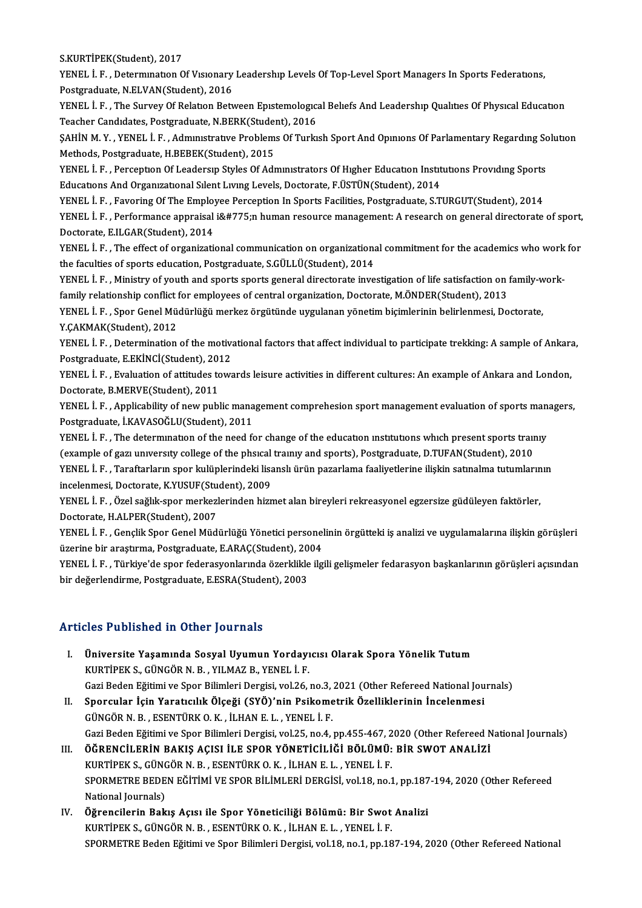S.KURTİPEK(Student),2017

S.KURTİPEK(Student), 2017<br>YENEL İ. F. , Determination Of Vısıonary Leadership Levels Of Top-Level Sport Managers In Sports Federations,<br>Restanaduata N.ELVAN(Student), 2016 S.KURTİPEK(Student), 2017<br>YENEL İ. F. , Determination Of Visionary<br>Postgraduate, N.ELVAN(Student), 2016<br>YENEL İ. E. - The Suway Of Belation Bety YENEL İ. F. , Determination Of Visionary Leadership Levels Of Top-Level Sport Managers In Sports Federations,<br>Postgraduate, N.ELVAN(Student), 2016<br>YENEL İ. F. , The Survey Of Relation Between Epistemological Beliefs And Le

Postgraduate, N.ELVAN(Student), 2016<br>YENEL İ. F. , The Survey Of Relation Between Epistemologic:<br>Teacher Candidates, Postgraduate, N.BERK(Student), 2016<br>SAHİN M. V., YENEL İ. E., Administrative Preblems Of Turkı YENEL İ. F. , The Survey Of Relation Between Epistemological Beliefs And Leadership Qualities Of Physical Education<br>Teacher Candidates, Postgraduate, N.BERK(Student), 2016<br>ŞAHİN M. Y. , YENEL İ. F. , Administrative Problem

Teacher Candidates, Postgraduate, N.BERK(Student), 2016<br>SAHİN M. Y. , YENEL İ. F. , Administrative Problems Of Turkish Sport And Opinions Of Parlamentary Regarding So<br>Methods, Postgraduate, H.BEBEK(Student), 2015<br>YENEL İ. SAHİN M. Y. , YENEL İ. F. , Admınıstrative Problems Of Turkish Sport And Opinions Of Parlamentary Regarding Sc<br>Methods, Postgraduate, H.BEBEK(Student), 2015<br>YENEL İ. F. , Perception Of Leadersip Styles Of Administrators Of

Educations And Organizational Silent Living Levels, Doctorate, F.ÜSTÜN(Student), 2014 YENEL İ. F. , Perception Of Leadersip Styles Of Administrators Of Higher Education Institutions Providing Sports<br>Educations And Organizational Silent Living Levels, Doctorate, F.ÜSTÜN(Student), 2014<br>YENEL İ. F. , Favoring

Educations And Organizational Silent Living Levels, Doctorate, F.ÜSTÜN(Student), 2014<br>YENEL İ. F. , Favoring Of The Employee Perception In Sports Facilities, Postgraduate, S.TURGUT(Student), 2014<br>YENEL İ. F. , Performance YENEL İ. F. , Favoring Of The Employ<br>YENEL İ. F. , Performance appraisal<br>Doctorate, E.ILGAR(Student), 2014<br>YENEL İ. E. The effect of exanisati YENEL İ. F. , Performance appraisal i̇n human resource management: A research on general directorate of sport,<br>Doctorate, E.ILGAR(Student), 2014

the faculties of sports education, Postgraduate, S.GÜLLÜ(Student), 2014

YENEL İ. F. , The effect of organizational communication on organizational commitment for the academics who work for<br>the faculties of sports education, Postgraduate, S.GÜLLÜ(Student), 2014<br>YENEL İ. F. , Ministry of youth a YENEL I. F., Ministry of youth and sports sports general directorate investigation of life satisfaction on family-work-YENEL İ. F. , Ministry of youth and sports sports general directorate investigation of life satisfaction on family-w<br>family relationship conflict for employees of central organization, Doctorate, M.ÖNDER(Student), 2013<br>YEN

family relationship conflict<br>YENEL İ. F. , Spor Genel Mü<br>Y.ÇAKMAK(Student), 2012<br>YENEL İ. E. , Determination YENEL İ. F. , Spor Genel Müdürlüğü merkez örgütünde uygulanan yönetim biçimlerinin belirlenmesi, Doctorate,<br>Y.ÇAKMAK(Student), 2012<br>YENEL İ. F. , Determination of the motivational factors that affect individual to particip

Y.ÇAKMAK(Student), 2012<br>YENEL İ. F. , Determination of the motiv:<br>Postgraduate, E.EKİNCİ(Student), 2012<br>YENEL İ. E., Evaluation of attitudes tevr YENEL İ. F. , Determination of the motivational factors that affect individual to participate trekking: A sample of Ankara,<br>Postgraduate, E.EKİNCİ(Student), 2012<br>YENEL İ. F. , Evaluation of attitudes towards leisure activi

Postgraduate, E.EKİNCİ(Student), 2013<br>YENEL İ. F. , Evaluation of attitudes to<br>Doctorate, B.MERVE(Student), 2011<br>YENEL İ. E. , Applicability of novembl YENEL İ. F. , Evaluation of attitudes towards leisure activities in different cultures: An example of Ankara and London,<br>Doctorate, B.MERVE(Student), 2011<br>YENEL İ. F. , Applicability of new public management comprehesion s

Doctorate, B.MERVE(Student), 2011<br>YENEL İ. F. , Applicability of new public mana<br>Postgraduate, İ.KAVASOĞLU(Student), 2011<br>YENEL İ. E. . The determination of the need f YENEL İ. F. , Applicability of new public management comprehesion sport management evaluation of sports man<br>Postgraduate, İ.KAVASOĞLU(Student), 2011<br>YENEL İ. F. , The determination of the need for change of the education i

Postgraduate, İ.KAVASOĞLU(Student), 2011<br>YENEL İ. F. , The determination of the need for change of the education institutions which present sports trai<br>(example of gazı university college of the phsical trainiy and sports) YENEL İ. F. , The determination of the need for change of the education institutions which present sports trainiy<br>(example of gazi university college of the phsical trainiy and sports), Postgraduate, D.TUFAN(Student), 2010 (example of gazı university college of the phsical training and sports), Postgraduate, D.TUFAN(Student), 2010<br>YENEL İ. F. , Taraftarların spor kulüplerindeki lisanslı ürün pazarlama faaliyetlerine ilişkin satınalma tutumla

YENEL İ. F. , Taraftarların spor kulüplerindeki lisanslı ürün pazarlama faaliyetlerine ilişkin satınalma tutumların<br>incelenmesi, Doctorate, K.YUSUF(Student), 2009<br>YENEL İ. F. , Özel sağlık-spor merkezlerinden hizmet alan b incelenmesi, Doctorate, K.YUSUF(Stu<br>YENEL İ. F. , Özel sağlık-spor merkezl<br>Doctorate, H.ALPER(Student), 2007<br>YENEL İ. E., Gonglik Spor Gongl Müd YENEL İ. F. , Özel sağlık-spor merkezlerinden hizmet alan bireyleri rekreasyonel egzersize güdüleyen faktörler,<br>Doctorate, H.ALPER(Student), 2007<br>YENEL İ. F. , Gençlik Spor Genel Müdürlüğü Yönetici personelinin örgütteki i

Doctorate, H.ALPER(Student), 2007<br>YENEL İ. F. , Gençlik Spor Genel Müdürlüğü Yönetici personel<br>üzerine bir araştırma, Postgraduate, E.ARAÇ(Student), 2004<br>YENEL İ. E., Türkiye'de spor fodenayyanlarında özerkilike ilg

YENEL İ. F. , Gençlik Spor Genel Müdürlüğü Yönetici personelinin örgütteki iş analizi ve uygulamalarına ilişkin görüşleri<br>üzerine bir araştırma, Postgraduate, E.ARAÇ(Student), 2004<br>YENEL İ. F. , Türkiye'de spor federasyonl üzerine bir araştırma, Postgraduate, E.ARAÇ(Student), 20<br>YENEL İ. F. , Türkiye'de spor federasyonlarında özerklikle<br>bir değerlendirme, Postgraduate, E.ESRA(Student), 2003

#### Articles Published in Other Journals

- I. Üniversite Yaşamında Sosyal Uyumun Yordayıcısı Olarak Spora Yönelik Tutum KURTİPEKS.,GÜNGÖRN.B. ,YILMAZB.,YENEL İ.F. Üniversite Yaşamında Sosyal Uyumun Yordayıcısı Olarak Spora Yönelik Tutum<br>KURTİPEK S., GÜNGÖR N. B. , YILMAZ B., YENEL İ. F.<br>Gazi Beden Eğitimi ve Spor Bilimleri Dergisi, vol.26, no.3, 2021 (Other Refereed National Journal
- II. Sporcular İçin Yaratıcılık Ölçeği (SYÖ)'nin Psikometrik Özelliklerinin İncelenmesi<br>GÜNGÖR N. B., ESENTÜRK O. K., İLHAN E. L., YENEL İ. F. Gazi Beden Eğitimi ve Spor Bilimleri Dergisi, vol.26, no.3,<br>Sporcular İçin Yaratıcılık Ölçeği (SYÖ)'nin Psikome<br>GÜNGÖR N. B. , ESENTÜRK O. K. , İLHAN E. L. , YENEL İ. F.<br>Cari Beden Eğitimi ve Spor Bilimleri Dergisi vol.25, Gazi Beden Eğitimi ve Spor Bilimleri Dergisi, vol.25, no.4, pp.455-467, 2020 (Other Refereed National Journals) GÜNGÖR N. B. , ESENTÜRK O. K. , İLHAN E. L. , YENEL İ. F.<br>Gazi Beden Eğitimi ve Spor Bilimleri Dergisi, vol.25, no.4, pp.455-467, 2020 (Other Refereed N<br>III. ÖĞRENCİLERİN BAKIŞ AÇISI İLE SPOR YÖNETİCİLİĞİ BÖLÜMÜ: BİR SWOT
- Gazi Beden Eğitimi ve Spor Bilimleri Dergisi, vol.25, no.4, pp.455-467, 2<br>ÖĞRENCİLERİN BAKIŞ AÇISI İLE SPOR YÖNETİCİLİĞİ BÖLÜMÜ:<br>KURTİPEK S., GÜNGÖR N. B. , ESENTÜRK O. K. , İLHAN E. L. , YENEL İ. F.<br>SPOPMETRE REDEN EĞİTİM ÖĞRENCİLERİN BAKIŞ AÇISI İLE SPOR YÖNETİCİLİĞİ BÖLÜMÜ: BİR SWOT ANALİZİ<br>KURTİPEK S., GÜNGÖR N. B. , ESENTÜRK O. K. , İLHAN E. L. , YENEL İ. F.<br>SPORMETRE BEDEN EĞİTİMİ VE SPOR BİLİMLERİ DERGİSİ, vol.18, no.1, pp.187-194, 20 KURTİPEK S., GÜNGÖR N. B. , ESENTÜRK O. K. , İLHAN E. L. , YENEL İ. F.<br>SPORMETRE BEDEN EĞİTİMİ VE SPOR BİLİMLERİ DERGİSİ, vol.18, no.1, pp.187-194, 2020 (Other Refereed<br>National Journals) SPORMETRE BEDEN EĞİTİMİ VE SPOR BİLİMLERİ DERGİSİ, vol.18, no.1, pp.187<br>National Journals)<br>IV. Öğrencilerin Bakış Açısı ile Spor Yöneticiliği Bölümü: Bir Swot Analizi<br>KURTİPEK S. ÇÜNCÖR N.B. ESENTÜRKO K. İLHANE L. YENELİ E
- National Journals)<br>Öğrencilerin Bakış Açısı ile Spor Yöneticiliği Bölümü: Bir Swot<br>KURTİPEK S., GÜNGÖR N. B. , ESENTÜRK O. K. , İLHAN E. L. , YENEL İ. F.<br>SPOPMETRE Bodan Eğitimi ve Spor Bilimleri Dergisi vel 19. ne 1 nn 19 KURTİPEK S., GÜNGÖR N. B. , ESENTÜRK O. K. , İLHAN E. L. , YENEL İ. F.<br>SPORMETRE Beden Eğitimi ve Spor Bilimleri Dergisi, vol.18, no.1, pp.187-194, 2020 (Other Refereed National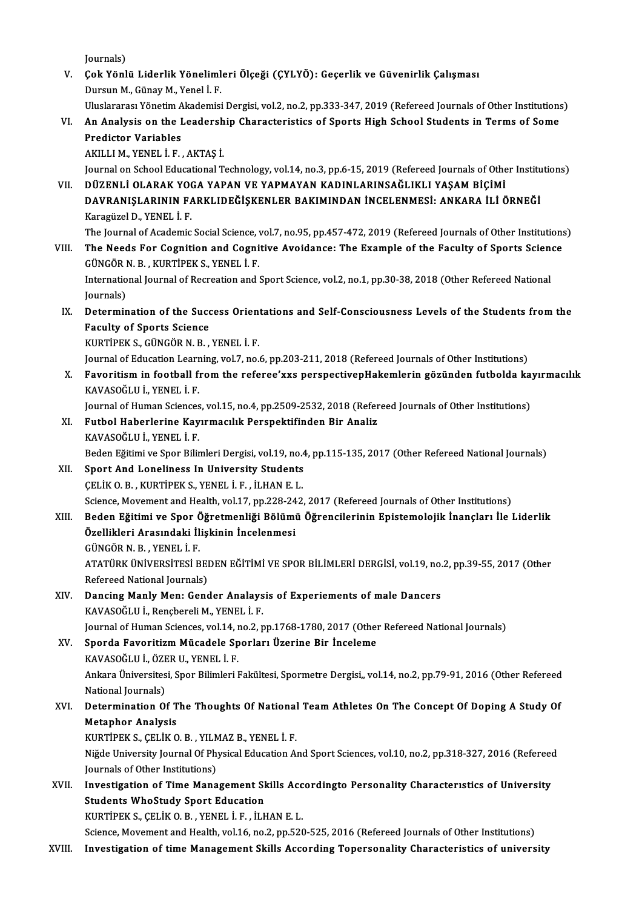Journals)

Journals)<br>V. Çok Yönlü Liderlik Yönelimleri Ölçeği (ÇYLYÖ): Geçerlik ve Güvenirlik Çalışması<br>Dursun M. Günev M. Yenel İ. E Journals)<br>**Çok Yönlü Liderlik Yöneliml**<br>Dursun M., Günay M., Yenel İ. F.<br>Uluelararası Yönetim Alındamisi Çok Yönlü Liderlik Yönelimleri Ölçeği (ÇYLYÖ): Geçerlik ve Güvenirlik Çalışması<br>Dursun M., Günay M., Yenel İ. F.<br>Uluslararası Yönetim Akademisi Dergisi, vol.2, no.2, pp.333-347, 2019 (Refereed Journals of Other Institution

Dursun M., Günay M., Yenel İ. F.<br>Uluslararası Yönetim Akademisi Dergisi, vol.2, no.2, pp.333-347, 2019 (Refereed Journals of Other Institutions<br>VI. An Analysis on the Leadership Characteristics of Sports High School St Uluslararası Yönetim A<br>An Analysis on the I<br>Predictor Variables<br>AKULLM YENEL İ.E An Analysis on the Leadersh<br>Predictor Variables<br>AKILLI M., YENEL İ. F. , AKTAŞ İ.<br>Journal on School Educational T

Predictor Variables<br>AKILLI M., YENEL İ. F. , AKTAŞ İ.<br>Journal on School Educational Technology, vol.14, no.3, pp.6-15, 2019 (Refereed Journals of Other Institutions)<br>DÜZENLİ OLARAK YOCA YARAN VE YARMAYAN KADINI ARINSAĞLIKL VI . DÜZENLİ OLARAK YOGA YAPAN VE YAPMAYAN KADINLARINSAĞLIKLI YAŞAMBİÇİMİ Journal on School Educational Technology, vol.14, no.3, pp.6-15, 2019 (Refereed Journals of Other Institu<br>DÜZENLİ OLARAK YOGA YAPAN VE YAPMAYAN KADINLARINSAĞLIKLI YAŞAM BİÇİMİ<br>DAVRANIŞLARININ FARKLIDEĞİŞKENLER BAKIMINDAN İ

DÜZENLİ OLARAK YOO<br>DAVRANIŞLARININ FA<br>Karagüzel D., YENEL İ. F.<br>The Journal of Asademis DAVRANIŞLARININ FARKLIDEĞİŞKENLER BAKIMINDAN İNCELENMESİ: ANKARA İLİ ÖRNEĞİ<br>Karagüzel D., YENEL İ. F.<br>The Journal of Academic Social Science, vol.7, no.95, pp.457-472, 2019 (Refereed Journals of Other Institutions)

Karagüzel D., YENEL İ. F.<br>The Journal of Academic Social Science, vol.7, no.95, pp.457-472, 2019 (Refereed Journals of Other Institutions<br>VIII. The Needs For Cognition and Cognitive Avoidance: The Example of the Faculty of The Journal of Academic Social Science,<br>The Needs For Cognition and Cogni<br>GÜNGÖR N. B. , KURTİPEK S., YENEL İ. F.<br>International Journal of Beerestian and i The Needs For Cognition and Cognitive Avoidance: The Example of the Faculty of Sports Science<br>GÜNGÖR N. B. , KURTİPEK S., YENEL İ. F.<br>International Journal of Recreation and Sport Science, vol.2, no.1, pp.30-38, 2018 (Othe

GÜNGÖR<br>Internatio<br>Journals)<br>Datarmir International Journal of Recreation and Sport Science, vol.2, no.1, pp.30-38, 2018 (Other Refereed National<br>Journals)<br>IX. Determination of the Success Orientations and Self-Consciousness Levels of the Students from the<br>Foc

Journals)<br>Determination of the Succ<br>Faculty of Sports Science<br>KURTIBEKS CÚNCÔP N-P Determination of the Success Orien<br>Faculty of Sports Science<br>KURTİPEK S., GÜNGÖR N. B. , YENEL İ. F.<br>Journal of Education Learning val 7, no. Faculty of Sports Science<br>KURTİPEK S., GÜNGÖR N. B. , YENEL İ. F.<br>Journal of Education Learning, vol.7, no.6, pp.203-211, 2018 (Refereed Journals of Other Institutions)<br>Favorition in fostball from the referee'uve perspecti

KURTİPEK S., GÜNGÖR N. B. , YENEL İ. F.<br>Journal of Education Learning, vol.7, no.6, pp.203-211, 2018 (Refereed Journals of Other Institutions)<br>X. Favoritism in football from the referee'xxs perspectivepHakemlerin gözünden Journal of Education Lear<mark>r</mark><br>Favoritism in football fi<br>KAVASOĞLU İ., YENEL İ. F.<br>Journal of Human Sciences Favoritism in football from the referee'xxs perspectivepHakemlerin gözünden futbolda ka<br>KAVASOĞLU İ., YENEL İ. F.<br>Journal of Human Sciences, vol.15, no.4, pp.2509-2532, 2018 (Refereed Journals of Other Institutions)<br>Euthol

- XI. Futbol Haberlerine Kayırmacılık Perspektifinden Bir Analiz Journal of Human Sciences<br>Futbol Haberlerine Kay<br>KAVASOĞLU İ., YENEL İ. F.<br>Peden Fğitimi ve Snor Bilir Futbol Haberlerine Kayırmacılık Perspektifinden Bir Analiz<br>KAVASOĞLU İ., YENEL İ. F.<br>Beden Eğitimi ve Spor Bilimleri Dergisi, vol.19, no.4, pp.115-135, 2017 (Other Refereed National Journals)<br>Sport And Loneliness In Univer
- XII. Sport And Loneliness In University Students<br>CELIK O.B., KURTIPEK S., YENEL I.F., ILHAN E.L. Beden Eğitimi ve Spor Bilimleri Dergisi, vol.19, no.4<br>Sport And Loneliness In University Students<br>ÇELİK O.B. , KURTİPEK S., YENEL İ. F. , İLHAN E.L.<br>Ssiense Meyement and Heelth vel.17, np.228,242 Sport And Loneliness In University Students<br>ÇELİK O. B. , KURTİPEK S., YENEL İ. F. , İLHAN E. L.<br>Science, Movement and Health, vol.17, pp.228-242, 2017 (Refereed Journals of Other Institutions)<br>Beden Făitimi ve Spor Öğretm CELİK O. B. , KURTİPEK S., YENEL İ. F. , İLHAN E. L.<br>Science, Movement and Health, vol.17, pp.228-242, 2017 (Refereed Journals of Other Institutions)<br>XIII. Beden Eğitimi ve Spor Öğretmenliği Bölümü Öğrencilerinin Epist
- Science, Movement and Health, vol.17, pp.228-24<br>Beden Eğitimi ve Spor Öğretmenliği Bölümi<br>Özellikleri Arasındaki İlişkinin İncelenmesi<br>CÜNCÖRN B. YENELİ E Beden Eğitimi ve Spor Ö<br>Özellikleri Arasındaki İl<br>GÜNGÖR N. B. , YENEL İ. F.<br>ATATÜRK ÜNİVERSİTESİ P Özellikleri Arasındaki İlişkinin İncelenmesi<br>GÜNGÖR N. B. , YENEL İ. F.<br>ATATÜRK ÜNİVERSİTESİ BEDEN EĞİTİMİ VE SPOR BİLİMLERİ DERGİSİ, vol.19, no.2, pp.39-55, 2017 (Other<br>Refereed National Jaurnale) GÜNGÖR N. B. , YENEL İ. F.<br>ATATÜRK ÜNİVERSİTESİ BEI<br>Refereed National Journals)<br>Dansing Manly Manı Cana

ATATÜRK ÜNIVERSITESI BEDEN EĞITIMI VE SPOR BILIMLERI DERGISI, vol.19, no.<br>Refereed National Journals)<br>XIV. Dancing Manly Men: Gender Analaysis of Experiements of male Dancers<br>KAVASOĞLU LBanchanali M. YENEL İ. E

Refereed National Journals)<br>Dancing Manly Men: Gender Analays<br>KAVASOĞLU İ., Rençbereli M., YENEL İ. F.<br>Journal of Human Scionces vel 14 no 3 n KAVASOĞLU İ., Rençbereli M., YENEL İ. F.<br>Journal of Human Sciences, vol.14, no.2, pp.1768-1780, 2017 (Other Refereed National Journals) KAVASOĞLU İ., Rençbereli M., YENEL İ. F.<br>Journal of Human Sciences, vol.14, no.2, pp.1768-1780, 2017 (Other<br>XV. Sporda Favoritizm Mücadele Sporları Üzerine Bir İnceleme<br>KAVASOĞLU İ. ÖZER U. YENEL İ. F

Journal of Human Sciences, vol.14, r<br>Sporda Favoritizm Mücadele Sp<br>KAVASOĞLU İ., ÖZER U., YENEL İ. F.<br>Ankara Üniversitesi Spor Bilimleri I Ankara Üniversitesi, Spor Bilimleri Fakültesi, Spormetre Dergisi,, vol.14, no.2, pp.79-91, 2016 (Other Refereed<br>National Journals) KAVASOĞLU İ. ÖZER U. YENEL İ. F. Ankara Üniversitesi, Spor Bilimleri Fakültesi, Spormetre Dergisi,, vol.14, no.2, pp.79-91, 2016 (Other Refereed<br>National Journals)<br>XVI. Determination Of The Thoughts Of National Team Athletes On The Concept Of Doping A Stu

## National Journals)<br>Determination Of T<br>Metaphor Analysis<br>VURTIBEV S. CELUV O Determination Of The Thoughts Of National<br>Metaphor Analysis<br>KURTİPEK S., ÇELİK O.B. , YILMAZ B., YENEL İ. F.<br>Niğde University Journal Of Physical Education A.

KURTIPEK S., CELIK O. B., YILMAZ B., YENEL I. F.

Metaphor Analysis<br>KURTİPEK S., ÇELİK O. B. , YILMAZ B., YENEL İ. F.<br>Niğde University Journal Of Physical Education And Sport Sciences, vol.10, no.2, pp.318-327, 2016 (Refereed<br>Journals of Other Institutions) Niğde University Journal Of Physical Education And Sport Sciences, vol.10, no.2, pp.318-327, 2016 (Refereed<br>Journals of Other Institutions)<br>XVII. Investigation of Time Management Skills Accordingto Personality Characterıst

Journals of Other Institutions)<br>Investigation of Time Management Sk<br>Students WhoStudy Sport Education<br>KURTIREKS CELIKO R. YENEL LE. ILL Investigation of Time Management Skills Acc<br>Students WhoStudy Sport Education<br>KURTİPEK S., ÇELİK O.B. , YENEL İ. F. , İLHAN E.L.<br>Ssiance Mayament and Haelth vel 16 no 2 nn 520 Students WhoStudy Sport Education<br>KURTİPEK S., ÇELİK O. B. , YENEL İ. F. , İLHAN E. L.<br>Science, Movement and Health, vol.16, no.2, pp.520-525, 2016 (Refereed Journals of Other Institutions)

XVIII. Investigation of time Management Skills According Topersonality Characteristics of university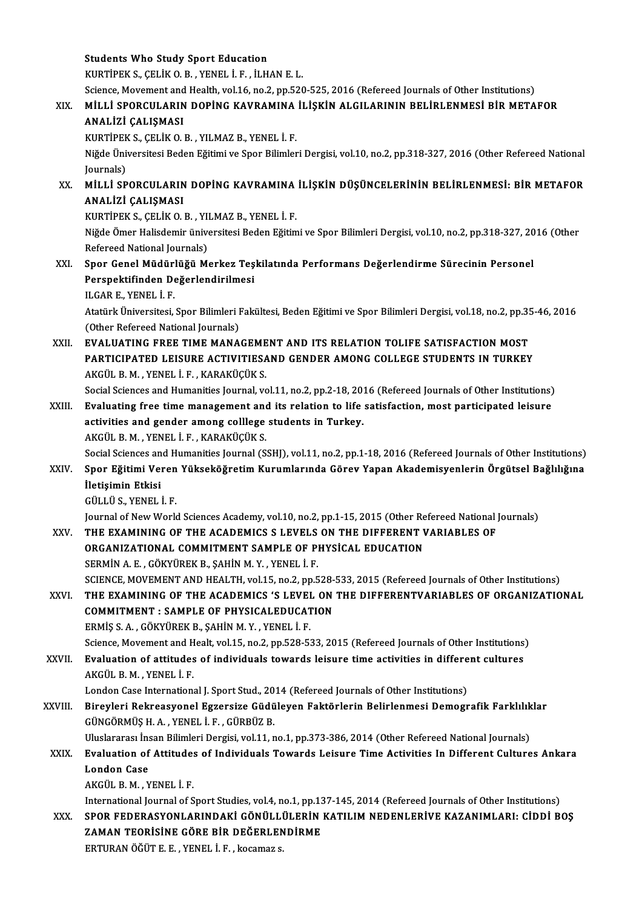|         | <b>Students Who Study Sport Education</b>                                                                             |
|---------|-----------------------------------------------------------------------------------------------------------------------|
|         | KURTIPEK S., ÇELİK O. B., YENEL İ. F., İLHAN E. L.                                                                    |
|         | Science, Movement and Health, vol.16, no.2, pp.520-525, 2016 (Refereed Journals of Other Institutions)                |
| XIX.    | MILLI SPORCULARIN DOPING KAVRAMINA ILIŞKIN ALGILARININ BELIRLENMESI BIR METAFOR                                       |
|         | ANALİZİ ÇALIŞMASI                                                                                                     |
|         | KURTİPEK S., ÇELİK O. B., YILMAZ B., YENEL İ. F.                                                                      |
|         | Niğde Üniversitesi Beden Eğitimi ve Spor Bilimleri Dergisi, vol.10, no.2, pp.318-327, 2016 (Other Refereed National   |
|         | Journals)                                                                                                             |
| XX.     | MİLLİ SPORCULARIN DOPİNG KAVRAMINA İLİŞKİN DÜŞÜNCELERİNİN BELİRLENMESİ: BİR METAFOR                                   |
|         | ANALİZİ ÇALIŞMASI                                                                                                     |
|         | KURTİPEK S., ÇELİK O. B., YILMAZ B., YENEL İ. F.                                                                      |
|         | Niğde Ömer Halisdemir üniversitesi Beden Eğitimi ve Spor Bilimleri Dergisi, vol.10, no.2, pp.318-327, 2016 (Other     |
|         | Refereed National Journals)                                                                                           |
| XXI.    | Spor Genel Müdürlüğü Merkez Teşkilatında Performans Değerlendirme Sürecinin Personel                                  |
|         | Perspektifinden Değerlendirilmesi                                                                                     |
|         | ILGAR E, YENEL İ. F.                                                                                                  |
|         | Atatürk Üniversitesi, Spor Bilimleri Fakültesi, Beden Eğitimi ve Spor Bilimleri Dergisi, vol.18, no.2, pp.35-46, 2016 |
|         | (Other Refereed National Journals)                                                                                    |
| XXII.   | EVALUATING FREE TIME MANAGEMENT AND ITS RELATION TOLIFE SATISFACTION MOST                                             |
|         | PARTICIPATED LEISURE ACTIVITIESAND GENDER AMONG COLLEGE STUDENTS IN TURKEY                                            |
|         | AKGÜL B. M., YENEL İ. F., KARAKÜÇÜK S.                                                                                |
|         | Social Sciences and Humanities Journal, vol.11, no.2, pp.2-18, 2016 (Refereed Journals of Other Institutions)         |
| XXIII.  | Evaluating free time management and its relation to life satisfaction, most participated leisure                      |
|         | activities and gender among colllege students in Turkey.                                                              |
|         | AKGÜL B. M., YENEL İ. F., KARAKÜÇÜK S.                                                                                |
|         | Social Sciences and Humanities Journal (SSHJ), vol.11, no.2, pp.1-18, 2016 (Refereed Journals of Other Institutions)  |
| XXIV    | Spor Eğitimi Veren Yükseköğretim Kurumlarında Görev Yapan Akademisyenlerin Örgütsel Bağlılığına<br>İletişimin Etkisi  |
|         | GÜLLÜ S. YENEL İ. F.                                                                                                  |
|         | Journal of New World Sciences Academy, vol.10, no.2, pp.1-15, 2015 (Other Refereed National Journals)                 |
| XXV     | THE EXAMINING OF THE ACADEMICS S LEVELS ON THE DIFFERENT VARIABLES OF                                                 |
|         | ORGANIZATIONAL COMMITMENT SAMPLE OF PHYSICAL EDUCATION                                                                |
|         | SERMIN A. E., GÖKYÜREK B., ŞAHİN M. Y., YENEL İ. F.                                                                   |
|         | SCIENCE, MOVEMENT AND HEALTH, vol.15, no.2, pp.528-533, 2015 (Refereed Journals of Other Institutions)                |
| XXVI.   | THE EXAMINING OF THE ACADEMICS 'S LEVEL ON THE DIFFERENTVARIABLES OF ORGANIZATIONAL                                   |
|         | <b>COMMITMENT : SAMPLE OF PHYSICALEDUCATION</b>                                                                       |
|         | ERMİŞ S. A., GÖKYÜREK B., ŞAHİN M. Y., YENEL İ. F.                                                                    |
|         | Science, Movement and Healt, vol.15, no.2, pp.528-533, 2015 (Refereed Journals of Other Institutions)                 |
| XXVII.  | Evaluation of attitudes of individuals towards leisure time activities in different cultures                          |
|         | AKGÜL B. M., YENEL İ. F.                                                                                              |
|         | London Case International J. Sport Stud., 2014 (Refereed Journals of Other Institutions)                              |
| XXVIII. | Bireyleri Rekreasyonel Egzersize Güdüleyen Faktörlerin Belirlenmesi Demografik Farklılıklar                           |
|         | GÜNGÖRMÜŞ H. A., YENEL İ. F., GÜRBÜZ B.                                                                               |
|         | Uluslararası İnsan Bilimleri Dergisi, vol.11, no.1, pp.373-386, 2014 (Other Refereed National Journals)               |
| XXIX.   | Evaluation of Attitudes of Individuals Towards Leisure Time Activities In Different Cultures Ankara                   |
|         | <b>London Case</b>                                                                                                    |
|         | AKGÜL B. M., YENEL İ. F.                                                                                              |
|         | International Journal of Sport Studies, vol.4, no.1, pp.137-145, 2014 (Refereed Journals of Other Institutions)       |
| XXX.    | SPOR FEDERASYONLARINDAKİ GÖNÜLLÜLERİN KATILIM NEDENLERİVE KAZANIMLARI: CİDDİ BOŞ                                      |
|         | ZAMAN TEORISINE GÖRE BIR DEĞERLENDIRME                                                                                |
|         | ERTURAN ÖĞÜT E. E., YENEL İ. F., kocamaz s.                                                                           |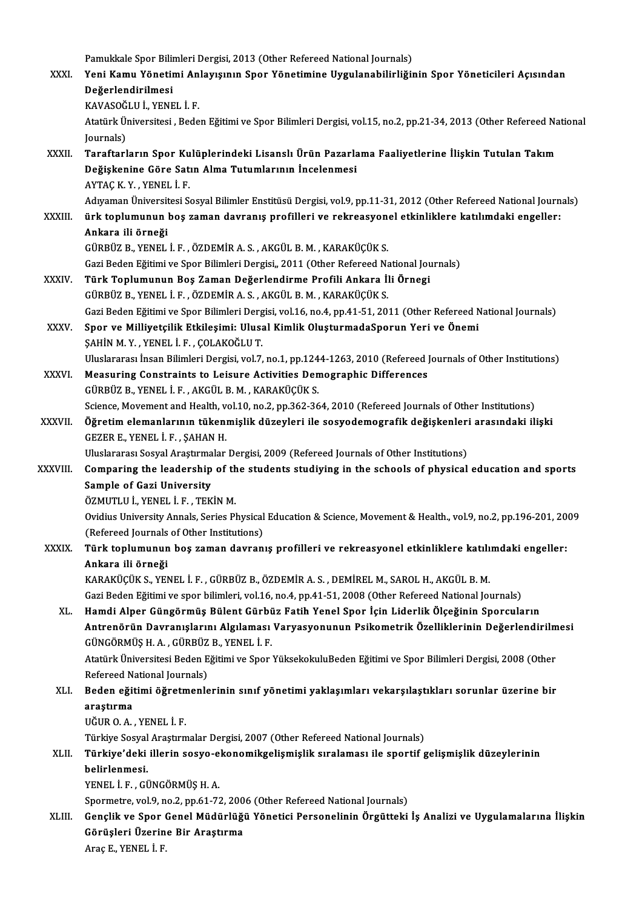Pamukkale Spor Bilimleri Dergisi, 2013 (Other Refereed National Journals)<br>Veni Komu Vänetimi Anlawsunun Spor Vänetimine Hugulanebilinliği

| Pamukkale Spor Bilimleri Dergisi, 2013 (Other Refereed National Journals)                                            |
|----------------------------------------------------------------------------------------------------------------------|
| Yeni Kamu Yönetimi Anlayışının Spor Yönetimine Uygulanabilirliğinin Spor Yöneticileri Açısından                      |
| Değerlendirilmesi<br>KAVASOĞLU İ., YENEL İ. F.                                                                       |
| Atatürk Üniversitesi, Beden Eğitimi ve Spor Bilimleri Dergisi, vol.15, no.2, pp.21-34, 2013 (Other Refereed National |
| Journals)                                                                                                            |
| Taraftarların Spor Kulüplerindeki Lisanslı Ürün Pazarlama Faaliyetlerine İlişkin Tutulan Takım                       |
| Değişkenine Göre Satın Alma Tutumlarının İncelenmesi                                                                 |
| AYTAÇ K Y, YENEL İ F                                                                                                 |
| Adıyaman Üniversitesi Sosyal Bilimler Enstitüsü Dergisi, vol.9, pp.11-31, 2012 (Other Refereed National Journals)    |
| ürk toplumunun boş zaman davranış profilleri ve rekreasyonel etkinliklere katılımdaki engeller:                      |
| Ankara ili örneği                                                                                                    |
| GÜRBÜZ B., YENEL İ. F., ÖZDEMİR A. S., AKGÜL B. M., KARAKÜÇÜK S.                                                     |
| Gazi Beden Eğitimi ve Spor Bilimleri Dergisi,, 2011 (Other Refereed National Journals)                               |
| Türk Toplumunun Boş Zaman Değerlendirme Profili Ankara İli Örnegi                                                    |
| GÜRBÜZ B., YENEL İ. F., ÖZDEMİR A. S., AKGÜL B. M., KARAKÜÇÜK S.                                                     |
| Gazi Beden Eğitimi ve Spor Bilimleri Dergisi, vol.16, no.4, pp.41-51, 2011 (Other Refereed National Journals)        |
| Spor ve Milliyetçilik Etkileşimi: Ulusal Kimlik OluşturmadaSporun Yeri ve Önemi                                      |
| ŞAHİN M. Y. , YENEL İ. F. , ÇOLAKOĞLU T.                                                                             |
| Uluslararası İnsan Bilimleri Dergisi, vol.7, no.1, pp.1244-1263, 2010 (Refereed Journals of Other Institutions)      |
| Measuring Constraints to Leisure Activities Demographic Differences                                                  |
| GÜRBÜZ B., YENEL İ. F., AKGÜL B. M., KARAKÜÇÜK S.                                                                    |
| Science, Movement and Health, vol.10, no.2, pp.362-364, 2010 (Refereed Journals of Other Institutions)               |
| Öğretim elemanlarının tükenmişlik düzeyleri ile sosyodemografik değişkenleri arasındaki ilişki                       |
| GEZER E, YENEL İ F, ŞAHAN H.                                                                                         |
| Uluslararası Sosyal Araştırmalar Dergisi, 2009 (Refereed Journals of Other Institutions)                             |
| Comparing the leadership of the students studiying in the schools of physical education and sports                   |
| Sample of Gazi University                                                                                            |
| ÖZMUTLU İ, YENEL İ F, TEKİN M.                                                                                       |
| Ovidius University Annals, Series Physical Education & Science, Movement & Health., vol.9, no.2, pp.196-201, 2009    |
| (Refereed Journals of Other Institutions)                                                                            |
| Türk toplumunun boş zaman davranış profilleri ve rekreasyonel etkinliklere katılımdaki engeller:                     |
| Ankara ili örneği                                                                                                    |
| KARAKÜÇÜK S., YENEL İ. F., GÜRBÜZ B., ÖZDEMİR A. S., DEMİREL M., SAROL H., AKGÜL B. M.                               |
| Gazi Beden Eğitimi ve spor bilimleri, vol.16, no.4, pp.41-51, 2008 (Other Refereed National Journals)                |
| Hamdi Alper Güngörmüş Bülent Gürbüz Fatih Yenel Spor İçin Liderlik Ölçeğinin Sporcuların                             |
| Antrenörün Davranışlarını Algılaması Varyasyonunun Psikometrik Özelliklerinin Değerlendirilmesi                      |
| GÜNGÖRMÜŞ H. A., GÜRBÜZ B., YENEL İ. F.                                                                              |
| Atatürk Üniversitesi Beden Eğitimi ve Spor YüksekokuluBeden Eğitimi ve Spor Bilimleri Dergisi, 2008 (Other           |
| Refereed National Journals)                                                                                          |
| Beden eğitimi öğretmenlerinin sınıf yönetimi yaklaşımları vekarşılaştıkları sorunlar üzerine bir                     |
| araștırma                                                                                                            |
| UĞUR O.A., YENEL İ.F.                                                                                                |
| Türkiye Sosyal Araştırmalar Dergisi, 2007 (Other Refereed National Journals)                                         |
| Türkiye'deki illerin sosyo-ekonomikgelişmişlik sıralaması ile sportif gelişmişlik düzeylerinin                       |
| belirlenmesi.                                                                                                        |
| YENEL İ. F., GÜNGÖRMÜŞ H. A.                                                                                         |
| Spormetre, vol.9, no.2, pp.61-72, 2006 (Other Refereed National Journals)                                            |
| Gençlik ve Spor Genel Müdürlüğü Yönetici Personelinin Örgütteki İş Analizi ve Uygulamalarına İlişkin                 |
| Görüşleri Üzerine Bir Araştırma<br>Ange E. VENEL I E.                                                                |
|                                                                                                                      |

AraçE.,YENEL İ.F.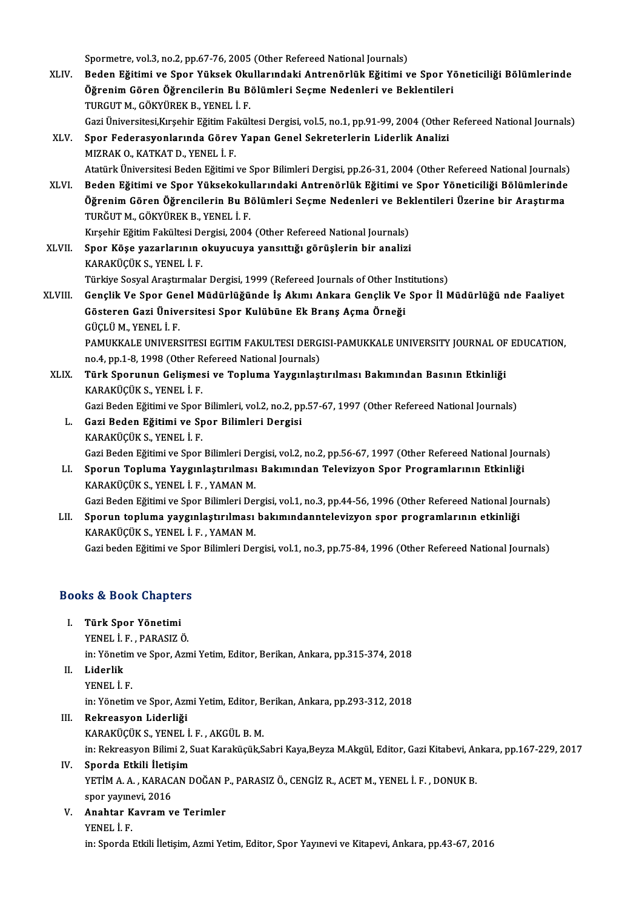Spormetre, vol.3, no.2, pp.67-76, 2005 (Other Refereed National Journals)

Spormetre, vol.3, no.2, pp.67-76, 2005 (Other Refereed National Journals)<br>XLIV. Beden Eğitimi ve Spor Yüksek Okullarındaki Antrenörlük Eğitimi ve Spor Yöneticiliği Bölümlerinde<br>Öğrenim Gören Öğrengilerin Bu Bölümleri Seeme Spormetre, vol.3, no.2, pp.67-76, 2005 (Other Refereed National Journals)<br>Beden Eğitimi ve Spor Yüksek Okullarındaki Antrenörlük Eğitimi ve Spor Yé<br>Öğrenim Gören Öğrencilerin Bu Bölümleri Seçme Nedenleri ve Beklentileri<br>TU Beden Eğitimi ve Spor Yüksek Oku<br>Öğrenim Gören Öğrencilerin Bu B<br>TURGUT M., GÖKYÜREK B., YENEL İ. F.<br>Ceri Üniversitesi Kurebin Eğitim Fekül Öğrenim Gören Öğrencilerin Bu Bölümleri Seçme Nedenleri ve Beklentileri<br>TURGUT M., GÖKYÜREK B., YENEL İ. F.<br>Gazi Üniversitesi,Kırşehir Eğitim Fakültesi Dergisi, vol.5, no.1, pp.91-99, 2004 (Other Refereed National Journals

TURGUT M., GÖKYÜREK B., YENEL İ. F.<br>Gazi Üniversitesi,Kırşehir Eğitim Fakültesi Dergisi, vol.5, no.1, pp.91-99, 2004 (Other<br>XLV. Spor Federasyonlarında Görev Yapan Genel Sekreterlerin Liderlik Analizi<br>MIZRAK O., KATKAT D., Gazi Üniversitesi,Kırşehir Eğitim Fa<br>Spor Federasyonlarında Görev<br>MIZRAK O., KATKAT D., YENEL İ. F.<br>Atatürk Üniversitesi Beden Fğitimi

Atatürk Üniversitesi Beden Eğitimi ve Spor Bilimleri Dergisi, pp.26-31, 2004 (Other Refereed National Journals) XLVI. Beden Eğitimi ve Spor Yüksekokullarındaki Antrenörlük Eğitimi ve Spor Yöneticiliği Bölümlerinde

Atatürk Üniversitesi Beden Eğitimi ve Spor Bilimleri Dergisi, pp.26-31, 2004 (Other Refereed National Journals)<br>Beden Eğitimi ve Spor Yüksekokullarındaki Antrenörlük Eğitimi ve Spor Yöneticiliği Bölümlerinde<br>Öğrenim Gören Beden Eğitimi ve Spor Yüksekokul<br>Öğrenim Gören Öğrencilerin Bu B<br>TURĞUT M., GÖKYÜREK B., YENEL İ. F.<br>Kusebir Fğitim Fekültesi Dergisi 2004 Öğrenim Gören Öğrencilerin Bu Bölümleri Seçme Nedenleri ve Bel<br>TURĞUT M., GÖKYÜREK B., YENEL İ. F.<br>Kırşehir Eğitim Fakültesi Dergisi, 2004 (Other Refereed National Journals)<br>Sper Köse vererlerinin oluymayıya venettiği görü

TURĞUT M., GÖKYÜREK B., YENEL İ. F.<br>Kırşehir Eğitim Fakültesi Dergisi, 2004 (Other Refereed National Journals)<br>XLVII. Spor Köşe yazarlarının okuyucuya yansıttığı görüşlerin bir analizi<br>KARAKÜCÜK S. YENEL İ. F Kırşehir Eğitim Fakültesi De<br>Spor Köşe yazarlarının (<br>KARAKÜÇÜK S., YENEL İ. F.<br>Türkiye Sesval Arastırmala Spor Köşe yazarlarının okuyucuya yansıttığı görüşlerin bir analizi<br>KARAKÜÇÜK S., YENEL İ. F.<br>Türkiye Sosyal Araştırmalar Dergisi, 1999 (Refereed Journals of Other Institutions)<br>Conalik Ve Spor Conal Müdürlüğünde İs Alumı A

- KARAKÜÇÜK S., YENEL İ. F.<br>Türkiye Sosyal Araştırmalar Dergisi, 1999 (Refereed Journals of Other Institutions)<br>XLVIII. Gençlik Ve Spor Genel Müdürlüğünde İş Akımı Ankara Gençlik Ve Spor İl Müdürlüğü nde Faaliyet<br>Göstere Türkiye Sosyal Araştırmalar Dergisi, 1999 (Refereed Journals of Other Ins<br>Gençlik Ve Spor Genel Müdürlüğünde İş Akımı Ankara Gençlik Ve<br>Gösteren Gazi Üniversitesi Spor Kulübüne Ek Branş Açma Örneği<br>CÜCLÜM YENELİ E Gençlik Ve Spor Gel<br>Gösteren Gazi Ünive<br>GÜÇLÜ M., YENEL İ. F.<br>PAMUYYALE UNIVERS Gösteren Gazi Üniversitesi Spor Kulübüne Ek Branş Açma Örneği<br>GÜÇLÜ M., YENEL İ. F.<br>PAMUKKALE UNIVERSITESI EGITIM FAKULTESI DERGISI-PAMUKKALE UNIVERSITY JOURNAL OF EDUCATION, GÜÇLÜ M., YENEL İ. F.<br>PAMUKKALE UNIVERSITESI EGITIM FAKULTESI DERG<br>no.4, pp.1-8, 1998 (Other Refereed National Journals)<br>Türk Sporunun Colismesi ve Tonlume Vougunlesi
- XLIX. Türk Sporunun Gelişmesi ve Topluma Yaygınlaştırılması Bakımından Basının Etkinliği no.4, pp.1-8, 1998 (Other R<br><mark>Türk Sporunun Gelişmes</mark><br>KARAKÜÇÜK S., YENEL İ. F.<br>Cari Beden Fğitimi ve Spor Türk Sporunun Gelişmesi ve Topluma Yaygınlaştırılması Bakımından Basının Etkinliği<br>KARAKÜÇÜK S., YENEL İ. F.<br>Gazi Beden Eğitimi ve Spor Bilimleri, vol.2, no.2, pp.57-67, 1997 (Other Refereed National Journals)<br>Cazi Beden E

- L. Gazi Beden Eğitimi ve Spor Bilimleri Dergisi Gazi Beden Eğitimi ve Spor<br><mark>Gazi Beden Eğitimi ve Sp</mark><br>KARAKÜÇÜK S., YENEL İ. F.<br>Cari Beden Eğitimi ve Spor Gazi Beden Eğitimi ve Spor Bilimleri Dergisi<br>KARAKÜÇÜK S., YENEL İ. F.<br>Gazi Beden Eğitimi ve Spor Bilimleri Dergisi, vol.2, no.2, pp.56-67, 1997 (Other Refereed National Journals)<br>Sporun Topluma Vovgunlastırılması Bakımınd
- LI. Sporun Topluma Yaygınlaştırılması Bakımından Televizyon Spor Programlarının Etkinliği Gazi Beden Eğitimi ve Spor Bilimleri Dei<br>Sporun Topluma Yaygınlaştırılması<br>KARAKÜÇÜK S., YENEL İ. F. , YAMAN M.<br>Cari Beden Fğitimi ve Spor Bilimleri Dei Sporun Topluma Yaygınlaştırılması Bakımından Televizyon Spor Programlarının Etkinliği<br>KARAKÜÇÜK S., YENEL İ. F. , YAMAN M.<br>Gazi Beden Eğitimi ve Spor Bilimleri Dergisi, vol.1, no.3, pp.44-56, 1996 (Other Refereed National

KARAKÜÇÜK S., YENEL İ. F. , YAMAN M.<br>Gazi Beden Eğitimi ve Spor Bilimleri Dergisi, vol.1, no.3, pp.44-56, 1996 (Other Refereed National Journal Jou<br>LII. Sporun topluma yaygınlaştırılması bakımındanntelevizyon spor programl Gazi Beden Eğitimi ve Spor Bilimleri Dei<br>Sporun topluma yaygınlaştırılması<br>KARAKÜÇÜK S., YENEL İ. F. , YAMAN M.<br>Cari beden Eğitimi ve Spor Bilimleri Dei LII. Sporun topluma yaygınlaştırılması bakımındanntelevizyon spor programlarının etkinliği<br>KARAKÜÇÜK S., YENEL İ. F. , YAMAN M.<br>Gazi beden Eğitimi ve Spor Bilimleri Dergisi, vol.1, no.3, pp.75-84, 1996 (Other Refereed Nati

## Gazi beden Egitimi ve Spo $\bf{Books}\ \&\ \textbf{Book} \ \textbf{Chapters}$ I. Türk Spor Yönetimi

I. Türk Spor Yönetimi<br>YENEL İ.F., PARASIZÖ.

Türk Spor Yönetimi<br>YENEL İ. F. , PARASIZ Ö.<br>in: Yönetim ve Spor, Azmi Yetim, Editor, Berikan, Ankara, pp.315-374, 2018<br>Liderlik

II. Liderlik<br>YENEL İ. F.

in: Yönetim<br><mark>Liderlik</mark><br>YENEL İ. F.<br>in: <sup>Vönetim</sup>

in: Yönetim ve Spor, Azmi Yetim, Editor, Berikan, Ankara, pp.293-312, 2018

III. Rekreasyon Liderliği

KARAKÜÇÜKS.,YENEL İ.F. ,AKGÜLB.M.

Rekreasyon Liderliği<br>KARAKÜÇÜK S., YENEL İ. F. , AKGÜL B. M.<br>in: Rekreasyon Bilimi 2, Suat Karaküçük,Sabri Kaya,Beyza M.Akgül, Editor, Gazi Kitabevi, Ankara, pp.167-229, 2017<br>Spondo Etkili, İletigim

# KARAKÜÇÜK S., YENEL İ.<br>in: Rekreasyon Bilimi 2, S.<br>IV. Sporda Etkili İletişim

in: Rekreasyon Bilimi 2, Suat Karaküçük,Sabri Kaya,Beyza M.Akgül, Editor, Gazi Kitabevi, Ar<br><mark>Sporda Etkili İletişim</mark><br>YETİM A. A. , KARACAN DOĞAN P., PARASIZ Ö., CENGİZ R., ACET M., YENEL İ. F. , DONUK B.<br>spor yayınayi. 201 Sporda Etkili İletiş<br>YETİM A. A. , KARAC<br>spor yayınevi, 2016<br>Anabtan Kaunam u YETİM A. A. , KARACAN DOĞAN P., PARASIZ Ö., CENGİZ R., ACET M., YENEL İ. F. , DONUK B.<br>spor yayınevi, 2016<br>V. Anahtar Kavram ve Terimler<br>YENEL İ. F. spor yayınevi, 2016

in: Sporda Etkili İletişim, Azmi Yetim, Editor, Spor Yayınevi ve Kitapevi, Ankara, pp.43-67, 2016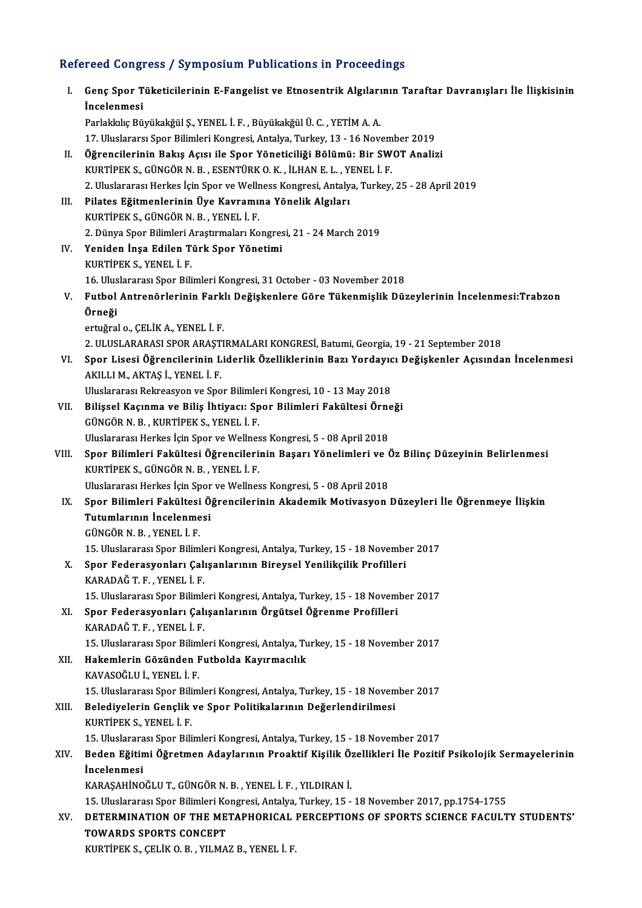### Refereed Congress / Symposium Publications in Proceedings

| Refereed Congress / Symposium Publications in Proceedings |                                                                                                                              |  |
|-----------------------------------------------------------|------------------------------------------------------------------------------------------------------------------------------|--|
| Ι.                                                        | Genç Spor Tüketicilerinin E-Fangelist ve Etnosentrik Algılarının Taraftar Davranışları İle İlişkisinin<br><i>incelenmesi</i> |  |
|                                                           | Parlakkılıç Büyükakğül Ş., YENEL İ. F., Büyükakğül Ü. C., YETİM A. A.                                                        |  |
|                                                           | 17. Uluslararsı Spor Bilimleri Kongresi, Antalya, Turkey, 13 - 16 November 2019                                              |  |
| П.                                                        | Öğrencilerinin Bakış Açısı ile Spor Yöneticiliği Bölümü: Bir SWOT Analizi                                                    |  |
|                                                           | KURTİPEK S., GÜNGÖR N. B., ESENTÜRK O. K., İLHAN E. L., YENEL İ. F.                                                          |  |
|                                                           | 2. Uluslararası Herkes İçin Spor ve Wellness Kongresi, Antalya, Turkey, 25 - 28 April 2019                                   |  |
| III.                                                      | Pilates Eğitmenlerinin Üye Kavramına Yönelik Algıları                                                                        |  |
|                                                           | KURTIPEK S., GÜNGÖR N. B., YENEL İ. F.                                                                                       |  |
|                                                           | 2. Dünya Spor Bilimleri Araştırmaları Kongresi, 21 - 24 March 2019                                                           |  |
| IV.                                                       | Yeniden İnşa Edilen Türk Spor Yönetimi                                                                                       |  |
|                                                           | KURTIPEK S., YENEL I.F.                                                                                                      |  |
|                                                           | 16. Uluslararası Spor Bilimleri Kongresi, 31 October - 03 November 2018                                                      |  |
| V.                                                        | Futbol Antrenörlerinin Farklı Değişkenlere Göre Tükenmişlik Düzeylerinin İncelenmesi:Trabzon                                 |  |
|                                                           | Örneği                                                                                                                       |  |
|                                                           | ertuğral o., ÇELİK A., YENEL İ. F.                                                                                           |  |
|                                                           | 2. ULUSLARARASI SPOR ARAŞTIRMALARI KONGRESİ, Batumi, Georgia, 19 - 21 September 2018                                         |  |
| VI.                                                       | Spor Lisesi Öğrencilerinin Liderlik Özelliklerinin Bazı Yordayıcı Değişkenler Açısından İncelenmesi                          |  |
|                                                           | AKILLI M., AKTAŞ İ., YENEL İ. F.                                                                                             |  |
|                                                           | Uluslararası Rekreasyon ve Spor Bilimleri Kongresi, 10 - 13 May 2018                                                         |  |
| VII.                                                      | Bilişsel Kaçınma ve Biliş İhtiyacı: Spor Bilimleri Fakültesi Örneği                                                          |  |
|                                                           | GÜNGÖR N. B., KURTİPEK S., YENEL İ. F.                                                                                       |  |
|                                                           | Uluslararası Herkes İçin Spor ve Wellness Kongresi, 5 - 08 April 2018                                                        |  |
| VIII.                                                     | Spor Bilimleri Fakültesi Öğrencilerinin Başarı Yönelimleri ve Öz Bilinç Düzeyinin Belirlenmesi                               |  |
|                                                           | KURTIPEK S., GÜNGÖR N. B., YENEL İ. F.                                                                                       |  |
|                                                           | Uluslararası Herkes İçin Spor ve Wellness Kongresi, 5 - 08 April 2018                                                        |  |
| IX.                                                       | Spor Bilimleri Fakültesi Öğrencilerinin Akademik Motivasyon Düzeyleri İle Öğrenmeye İlişkin<br>Tutumlarının İncelenmesi      |  |
|                                                           | GÜNGÖRN B.YENELİF                                                                                                            |  |
|                                                           | 15. Uluslararası Spor Bilimleri Kongresi, Antalya, Turkey, 15 - 18 November 2017                                             |  |
| X.                                                        | Spor Federasyonları Çalışanlarının Bireysel Yenilikçilik Profilleri                                                          |  |
|                                                           | KARADAĞ T F , YENEL İ F.                                                                                                     |  |
|                                                           | 15. Uluslararası Spor Bilimleri Kongresi, Antalya, Turkey, 15 - 18 November 2017                                             |  |
| XI.                                                       | Spor Federasyonları Çalışanlarının Örgütsel Öğrenme Profilleri                                                               |  |
|                                                           | KARADAĞ T F , YENEL İ F                                                                                                      |  |
|                                                           | 15. Uluslararası Spor Bilimleri Kongresi, Antalya, Turkey, 15 - 18 November 2017                                             |  |
| XII.                                                      | Hakemlerin Gözünden Futbolda Kayırmacılık                                                                                    |  |
|                                                           | KAVASOĞLU İ., YENEL İ. F.                                                                                                    |  |
|                                                           | 15. Uluslararası Spor Bilimleri Kongresi, Antalya, Turkey, 15 - 18 November 2017                                             |  |
| XIII.                                                     | Belediyelerin Gençlik ve Spor Politikalarının Değerlendirilmesi                                                              |  |
|                                                           | KURTIPEK S., YENEL I.F.                                                                                                      |  |
|                                                           | 15. Uluslararası Spor Bilimleri Kongresi, Antalya, Turkey, 15 - 18 November 2017                                             |  |
| XIV.                                                      | Beden Eğitimi Öğretmen Adaylarının Proaktif Kişilik Özellikleri İle Pozitif Psikolojik Sermayelerinin                        |  |
|                                                           | <i>incelenmesi</i>                                                                                                           |  |
|                                                           | KARAŞAHİNOĞLU T., GÜNGÖR N. B., YENEL İ. F., YILDIRAN İ.                                                                     |  |
|                                                           | 15. Uluslararası Spor Bilimleri Kongresi, Antalya, Turkey, 15 - 18 November 2017, pp.1754-1755                               |  |
| XV.                                                       | DETERMINATION OF THE METAPHORICAL PERCEPTIONS OF SPORTS SCIENCE FACULTY STUDENTS'                                            |  |
|                                                           | <b>TOWARDS SPORTS CONCEPT</b>                                                                                                |  |
|                                                           | KURTİPEK S., ÇELİK O. B., YILMAZ B., YENEL İ. F.                                                                             |  |
|                                                           |                                                                                                                              |  |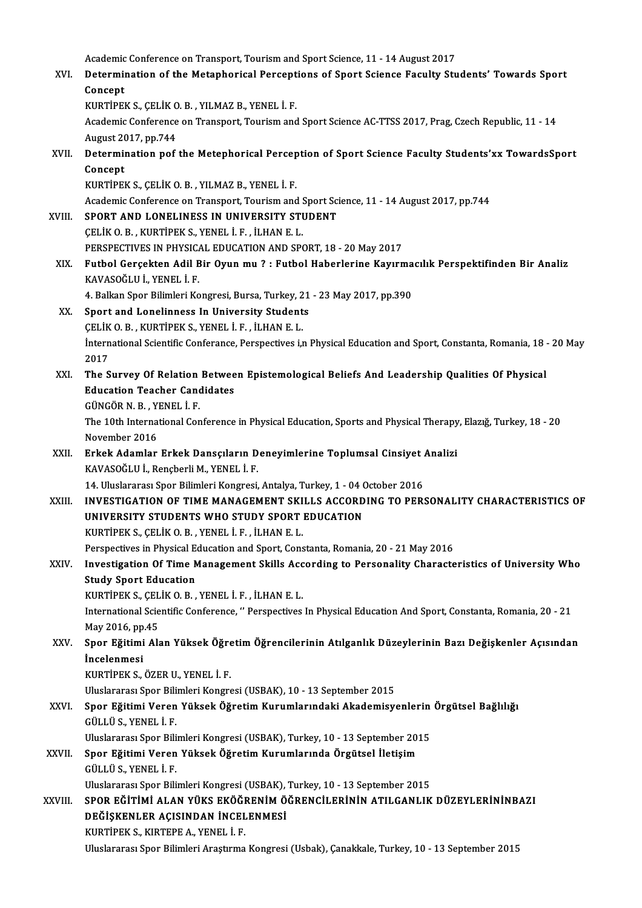Academic Conference on Transport, Tourism and Sport Science, 11 - 14 August 2017<br>Determination of the Metaphorical Persontions of Sport Science Foculty Stu

Academic Conference on Transport, Tourism and Sport Science, 11 - 14 August 2017<br>XVI. Determination of the Metaphorical Perceptions of Sport Science Faculty Students' Towards Sport<br>Consent Academic<br>Determii<br>Concept<br>EURTIPEI Determination of the Metaphorical Percept<br>Concept<br>KURTİPEK S., ÇELİK O.B. , YILMAZ B., YENEL İ.F.<br>Asademis Conference on Transport Tourism and

Concept<br>KURTİPEK S., ÇELİK O. B. , YILMAZ B., YENEL İ. F.<br>Academic Conference on Transport, Tourism and Sport Science AC-TTSS 2017, Prag, Czech Republic, 11 - 14 KURTİPEK S., ÇELİK O<br>Academic Conference<br>August 2017, pp.744<br>Determination pof Academic Conference on Transport, Tourism and Sport Science AC-TTSS 2017, Prag, Czech Republic, 11 - 14<br>August 2017, pp.744<br>XVII. Determination pof the Metephorical Perception of Sport Science Faculty Students'xx TowardsSp

August 20<br>Determi<br>Concept<br>EURTIPEL Determination pof the Metephorical Percep<br>Concept<br>KURTİPEK S., ÇELİK O.B. , YILMAZ B., YENEL İ.F.<br>Asademis Conference en Transport Tourism and Concept<br>KURTİPEK S., ÇELİK O. B. , YILMAZ B., YENEL İ. F.<br>Academic Conference on Transport, Tourism and Sport Science, 11 - 14 August 2017, pp.744<br>SPOPT, AND J ONELINESS IN UNIVERSITY STUDENT

KURTIPEK S., ÇELIK O. B., YILMAZ B., YENEL İ. F.<br>Academic Conference on Transport, Tourism and Sport Sci<br>XVIII. SPORT AND LONELINESS IN UNIVERSITY STUDENT<br>CELIK O. B. KURTIPEK S. YENEL İ. F. İLHAN E. I

Academic Conference on Transport, Tourism and SPORT AND LONELINESS IN UNIVERSITY STURE<br>CELIK O.B. , KURTIPEK S., YENEL İ. F. , İLHAN E. L.<br>PERSPECTIVES IN PHYSICAL EDUCATION AND SPO SPORT AND LONELINESS IN UNIVERSITY STUDENT<br>CELIK O. B. , KURTIPEK S., YENEL I. F. , ILHAN E. L.<br>PERSPECTIVES IN PHYSICAL EDUCATION AND SPORT, 18 - 20 May 2017

CELİK O. B. , KURTİPEK S., YENEL İ. F. , İLHAN E. L.<br>PERSPECTIVES IN PHYSICAL EDUCATION AND SPORT, 18 - 20 May 2017<br>XIX. Futbol Gerçekten Adil Bir Oyun mu ? : Futbol Haberlerine Kayırmacılık Perspektifinden Bir Analiz<br> PERSPECTIVES IN PHYSIC.<br>Futbol Gerçekten Adil B<br>KAVASOĞLU İ., YENEL İ. F.<br>4. Balkan Spar Bilimleri Ka Futbol Gerçekten Adil Bir Oyun mu ? : Futbol Haberlerine Kayırma<br>KAVASOĞLU İ., YENEL İ. F.<br>4. Balkan Spor Bilimleri Kongresi, Bursa, Turkey, 21 - 23 May 2017, pp.390<br>Sport and Lanelinness In University Students KAVASOĞLU İ., YENEL İ. F.<br>4. Balkan Spor Bilimleri Kongresi, Bursa, Turkey, 21<br>XX. Sport and Lonelinness In University Students

4. Balkan Spor Bilimleri Kongresi, Bursa, Turkey, 21 - 23 May 2017, pp.390

- International Scientific Conferance, Perspectives i,n Physical Education and Sport, Constanta, Romania, 18 20 May<br>2017 CELIK O. B., KURTIPEK S., YENEL I. F., ILHAN E. L. International Scientific Conferance, Perspectives i,n Physical Education and Sport, Constanta, Romania, 18<br>2017<br>XXI. The Survey Of Relation Between Epistemological Beliefs And Leadership Qualities Of Physical<br>Education Tea
- 2017<br>The Survey Of Relation Betwee<br>Education Teacher Candidates<br>CÜNCÖR N R. YENEL İ E The Survey Of Relation<br>Education Teacher Cand<br>GÜNGÖR N. B. , YENEL İ. F.<br>The 10th International Con Education Teacher Candidates<br>GÜNGÖR N. B. , YENEL İ. F.<br>The 10th International Conference in Physical Education, Sports and Physical Therapy, Elazığ, Turkey, 18 - 20<br>Navember 2016

GÜNGÖR N. B. , Y<br>The 10th Interna<br>November 2016<br>Erkek Adamlar The 10th International Conference in Physical Education, Sports and Physical Therapy<br>November 2016<br>XXII. Erkek Adamlar Erkek Dansçıların Deneyimlerine Toplumsal Cinsiyet Analizi<br>KAVASOĞLU İ. Pensberli M. YENEL İ. E

- November 2016<br><mark>Erkek Adamlar Erkek Dansçıların D</mark><br>KAVASOĞLU İ., Rençberli M., YENEL İ. F.<br>14 Huslararesı Spar Bilimleri Kangresi Erkek Adamlar Erkek Dansçıların Deneyimlerine Toplumsal Cinsiyet<br>KAVASOĞLU İ., Rençberli M., YENEL İ. F.<br>14. Uluslararası Spor Bilimleri Kongresi, Antalya, Turkey, 1 - 04 October 2016<br>INVESTIC ATION OF TIME MANACEMENT SKIL
- KAVASOĞLU İ., Rençberli M., YENEL İ. F.<br>14. Uluslararası Spor Bilimleri Kongresi, Antalya, Turkey, 1 04 October 2016<br>XXIII. INVESTIGATION OF TIME MANAGEMENT SKILLS ACCORDING TO PERSONALITY CHARACTERISTICS OF 14. Uluslararası Spor Bilimleri Kongresi, Antalya, Turkey, 1 - 04 (<br>INVESTIGATION OF TIME MANAGEMENT SKILLS ACCORD<br>UNIVERSITY STUDENTS WHO STUDY SPORT EDUCATION INVESTIGATION OF TIME MANAGEMENT SKI<br>UNIVERSITY STUDENTS WHO STUDY SPORT<br>KURTİPEK S., ÇELİK O.B. , YENEL İ. F. , İLHAN E. L.<br>Perspectives in Physical Education and Sport Cons UNIVERSITY STUDENTS WHO STUDY SPORT EDUCATION<br>KURTİPEK S., ÇELİK O. B. , YENEL İ. F. , İLHAN E. L.<br>Perspectives in Physical Education and Sport, Constanta, Romania, 20 - 21 May 2016<br>Investigation Of Time Management Skille

KURTİPEK S., ÇELİK O. B. , YENEL İ. F. , İLHAN E. L.<br>Perspectives in Physical Education and Sport, Constanta, Romania, 20 - 21 May 2016<br>XXIV. Investigation Of Time Management Skills According to Personality Characteristics Perspectives in Physical E<br>Investigation Of Time N<br>Study Sport Education<br>KURTIBEKS, CELIKO P Investigation Of Time Management Skills Acc<br>Study Sport Education<br>KURTİPEK S., ÇELİK O.B. , YENEL İ. F. , İLHAN E. L.<br>International Scientifie Conference, " Perspectives

International Scientific Conference, " Perspectives In Physical Education And Sport, Constanta, Romania, 20 - 21<br>May 2016, pp.45 KURTİPEK S., ÇEL<br>International Scie<br>May 2016, pp.45<br>Spor Eğitimi Als International Scientific Conference, " Perspectives In Physical Education And Sport, Constanta, Romania, 20 - 21<br>May 2016, pp.45<br>XXV. Spor Eğitimi Alan Yüksek Öğretim Öğrencilerinin Atılganlık Düzeylerinin Bazı Değişkenler

May 2016, pp<br><mark>Spor Eğitimi</mark><br>İncelenmesi<br><sub>KUPT</sub>ipe*v* s Spor Eğitimi Alan Yüksek Öğre<br>İncelenmesi<br>KURTİPEK S., ÖZER U., YENEL İ. F.<br>Uluslararası Spor Bilimleri Kongre İncelenmesi<br>KURTİPEK S., ÖZER U., YENEL İ. F.<br>Uluslararası Spor Bilimleri Kongresi (USBAK), 10 - 13 September 2015<br>Spor Eğitimi Veren Vülsek Öğretim Kurumlarındaki Akademisy

## KURTİPEK S., ÖZER U., YENEL İ. F.<br>Uluslararası Spor Bilimleri Kongresi (USBAK), 10 - 13 September 2015<br>XXVI. Spor Eğitimi Veren Yüksek Öğretim Kurumlarındaki Akademisyenlerin Örgütsel Bağlılığı Uluslararası Spor Bili<br><mark>Spor Eğitimi Veren</mark><br>GÜLLÜ S., YENEL İ. F.<br>Uluslararası Spor Bili Spor Eğitimi Veren Yüksek Öğretim Kurumlarındaki Akademisyenlerin<br>GÜLLÜ S., YENEL İ. F.<br>Uluslararası Spor Bilimleri Kongresi (USBAK), Turkey, 10 - 13 September 2015<br>Spor Eğitimi Veren Yüksek Öğretim Kurumlarında Örgütsel İ

GÜLLÜ S., YENEL İ. F.<br>Uluslararası Spor Bilimleri Kongresi (USBAK), Turkey, 10 - 13 September 20:<br>XXVII. Spor Eğitimi Veren Yüksek Öğretim Kurumlarında Örgütsel İletişim<br>CÜLLÜ S. YENEL İ. E Uluslararası Spor Bili<br><mark>Spor Eğitimi Veren</mark><br>GÜLLÜ S., YENEL İ. F.<br>Uluslararası Spor Bili Spor Eğitimi Veren Yüksek Öğretim Kurumlarında Örgütsel İletişim<br>GÜLLÜ S., YENEL İ. F.<br>Uluslararası Spor Bilimleri Kongresi (USBAK), Turkey, 10 - 13 September 2015<br>SPOP EĞİTİMİ ALAN VÜKS EKÖĞPENİM ÖĞPENCU ERİNİN ATU CANLIK

GÜLLÜ S., YENEL İ. F.<br>Uluslararası Spor Bilimleri Kongresi (USBAK), Turkey, 10 - 13 September 2015<br>XXVIII. SPOR EĞİTİMİ ALAN YÜKS EKÖĞRENİM ÖĞRENCİLERİNİN ATILGANLIK DÜZEYLERİNİNBAZI<br>DEĞİSKENI ER ACISINDAN İNCELENMESİ Uluslararası Spor Bilimleri Kongresi (USBAK),<br>SPOR EĞİTİMİ ALAN YÜKS EKÖĞRENİM Ö<br>DEĞİŞKENLER AÇISINDAN İNCELENMESİ<br>KURTİREK S. KIRTERE A. YENEL İ. E SPOR EĞİTİMİ ALAN YÜKS EKÖĞI<br>DEĞİŞKENLER AÇISINDAN İNCEL<br>KURTİPEK S., KIRTEPE A., YENEL İ. F.<br>Uluslararan Spor Bilimleri Arastruna DEĞİŞKENLER AÇISINDAN İNCELENMESİ<br>KURTİPEK S., KIRTEPE A., YENEL İ. F.<br>Uluslararası Spor Bilimleri Araştırma Kongresi (Usbak), Çanakkale, Turkey, 10 - 13 September 2015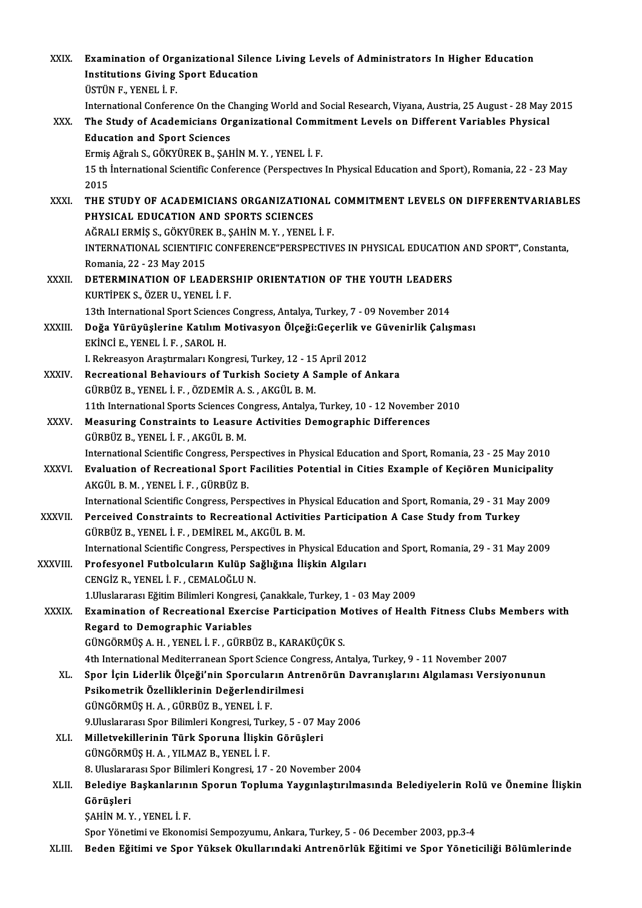| XXIX.        | Examination of Organizational Silence Living Levels of Administrators In Higher Education                      |
|--------------|----------------------------------------------------------------------------------------------------------------|
|              | <b>Institutions Giving Sport Education</b><br>ÜSTÜN F., YENEL İ. F.                                            |
|              |                                                                                                                |
|              | International Conference On the Changing World and Social Research, Viyana, Austria, 25 August - 28 May 2015   |
| XXX.         | The Study of Academicians Organizational Commitment Levels on Different Variables Physical                     |
|              | <b>Education and Sport Sciences</b><br>Ermiş Ağralı S., GÖKYÜREK B., ŞAHİN M.Y., YENEL İ.F.                    |
|              | 15 th International Scientific Conference (Perspectives In Physical Education and Sport), Romania, 22 - 23 May |
|              | 2015                                                                                                           |
| XXXI.        | THE STUDY OF ACADEMICIANS ORGANIZATIONAL COMMITMENT LEVELS ON DIFFERENTVARIABLES                               |
|              | PHYSICAL EDUCATION AND SPORTS SCIENCES                                                                         |
|              | AĞRALI ERMİŞ S., GÖKYÜREK B., ŞAHİN M.Y., YENEL İ. F.                                                          |
|              | INTERNATIONAL SCIENTIFIC CONFERENCE"PERSPECTIVES IN PHYSICAL EDUCATION AND SPORT", Constanta,                  |
|              | Romania, 22 - 23 May 2015                                                                                      |
| XXXII.       | DETERMINATION OF LEADERSHIP ORIENTATION OF THE YOUTH LEADERS                                                   |
|              | KURTİPEK S., ÖZER U., YENEL İ. F.                                                                              |
|              | 13th International Sport Sciences Congress, Antalya, Turkey, 7 - 09 November 2014                              |
| XXXIII.      | Doğa Yürüyüşlerine Katılım Motivasyon Ölçeği:Geçerlik ve Güvenirlik Çalışması                                  |
|              | EKINCI E., YENEL I. F., SAROL H.                                                                               |
|              | I. Rekreasyon Araştırmaları Kongresi, Turkey, 12 - 15 April 2012                                               |
| XXXIV.       | Recreational Behaviours of Turkish Society A Sample of Ankara                                                  |
|              | GÜRBÜZ B., YENEL İ. F., ÖZDEMİR A. S., AKGÜL B. M.                                                             |
|              | 11th International Sports Sciences Congress, Antalya, Turkey, 10 - 12 November 2010                            |
| XXXV         | Measuring Constraints to Leasure Activities Demographic Differences                                            |
|              | GÜRBÜZ B., YENEL İ. F., AKGÜL B. M.                                                                            |
|              | International Scientific Congress, Perspectives in Physical Education and Sport, Romania, 23 - 25 May 2010     |
| <b>XXXVI</b> | Evaluation of Recreational Sport Facilities Potential in Cities Example of Keçiören Municipality               |
|              | AKGÜL B. M., YENEL İ. F., GÜRBÜZ B.                                                                            |
|              | International Scientific Congress, Perspectives in Physical Education and Sport, Romania, 29 - 31 May 2009     |
| XXXVII.      | Perceived Constraints to Recreational Activities Participation A Case Study from Turkey                        |
|              | GÜRBÜZ B., YENEL İ. F., DEMİREL M., AKGÜL B. M.                                                                |
|              | International Scientific Congress, Perspectives in Physical Education and Sport, Romania, 29 - 31 May 2009     |
| XXXVIII.     | Profesyonel Futbolcuların Kulüp Sağlığına İlişkin Algıları                                                     |
|              | CENGIZ R., YENEL I. F., CEMALOĞLU N.                                                                           |
|              | 1. Uluslararası Eğitim Bilimleri Kongresi, Çanakkale, Turkey, 1 - 03 May 2009                                  |
| <b>XXXIX</b> | Examination of Recreational Exercise Participation Motives of Health Fitness Clubs Members with                |
|              | <b>Regard to Demographic Variables</b>                                                                         |
|              | GÜNGÖRMÜŞ A.H., YENEL İ.F., GÜRBÜZ B., KARAKÜÇÜK S.                                                            |
|              | 4th International Mediterranean Sport Science Congress, Antalya, Turkey, 9 - 11 November 2007                  |
| XL.          | Spor İçin Liderlik Ölçeği'nin Sporcuların Antrenörün Davranışlarını Algılaması Versiyonunun                    |
|              | Psikometrik Özelliklerinin Değerlendirilmesi                                                                   |
|              | GÜNGÖRMÜŞ H. A., GÜRBÜZ B., YENEL İ. F.                                                                        |
|              | 9 Uluslararası Spor Bilimleri Kongresi, Turkey, 5 - 07 May 2006                                                |
| XLI.         | Milletvekillerinin Türk Sporuna İlişkin Görüşleri                                                              |
|              | GÜNGÖRMÜŞ H. A., YILMAZ B., YENEL İ. F.                                                                        |
|              | 8. Uluslararası Spor Bilimleri Kongresi, 17 - 20 November 2004                                                 |
| XLII.        | Belediye Başkanlarının Sporun Topluma Yaygınlaştırılmasında Belediyelerin Rolü ve Önemine İlişkin<br>Görüşleri |
|              | ŞAHİN M.Y., YENEL İ. F.                                                                                        |
|              | Spor Yönetimi ve Ekonomisi Sempozyumu, Ankara, Turkey, 5 - 06 December 2003, pp.3-4                            |
| XLIII.       | Beden Eğitimi ve Spor Yüksek Okullarındaki Antrenörlük Eğitimi ve Spor Yöneticiliği Bölümlerinde               |
|              |                                                                                                                |